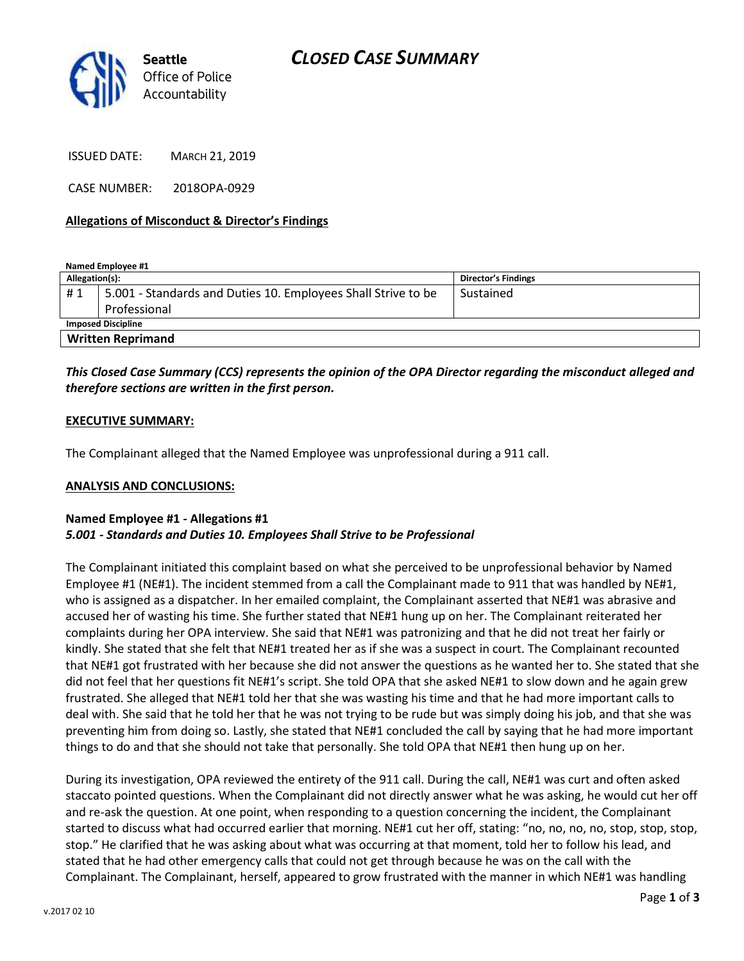

ISSUED DATE: MARCH 21, 2019

CASE NUMBER: 2018OPA-0929

#### **Allegations of Misconduct & Director's Findings**

**Named Employee #1**

| Allegation(s):            |                                                               | Director's Findings |
|---------------------------|---------------------------------------------------------------|---------------------|
| #1                        | 5.001 - Standards and Duties 10. Employees Shall Strive to be | Sustained           |
|                           | Professional                                                  |                     |
| <b>Imposed Discipline</b> |                                                               |                     |
| <b>Written Reprimand</b>  |                                                               |                     |

# *This Closed Case Summary (CCS) represents the opinion of the OPA Director regarding the misconduct alleged and therefore sections are written in the first person.*

#### **EXECUTIVE SUMMARY:**

The Complainant alleged that the Named Employee was unprofessional during a 911 call.

### **ANALYSIS AND CONCLUSIONS:**

## **Named Employee #1 - Allegations #1** *5.001 - Standards and Duties 10. Employees Shall Strive to be Professional*

The Complainant initiated this complaint based on what she perceived to be unprofessional behavior by Named Employee #1 (NE#1). The incident stemmed from a call the Complainant made to 911 that was handled by NE#1, who is assigned as a dispatcher. In her emailed complaint, the Complainant asserted that NE#1 was abrasive and accused her of wasting his time. She further stated that NE#1 hung up on her. The Complainant reiterated her complaints during her OPA interview. She said that NE#1 was patronizing and that he did not treat her fairly or kindly. She stated that she felt that NE#1 treated her as if she was a suspect in court. The Complainant recounted that NE#1 got frustrated with her because she did not answer the questions as he wanted her to. She stated that she did not feel that her questions fit NE#1's script. She told OPA that she asked NE#1 to slow down and he again grew frustrated. She alleged that NE#1 told her that she was wasting his time and that he had more important calls to deal with. She said that he told her that he was not trying to be rude but was simply doing his job, and that she was preventing him from doing so. Lastly, she stated that NE#1 concluded the call by saying that he had more important things to do and that she should not take that personally. She told OPA that NE#1 then hung up on her.

During its investigation, OPA reviewed the entirety of the 911 call. During the call, NE#1 was curt and often asked staccato pointed questions. When the Complainant did not directly answer what he was asking, he would cut her off and re-ask the question. At one point, when responding to a question concerning the incident, the Complainant started to discuss what had occurred earlier that morning. NE#1 cut her off, stating: "no, no, no, no, stop, stop, stop, stop." He clarified that he was asking about what was occurring at that moment, told her to follow his lead, and stated that he had other emergency calls that could not get through because he was on the call with the Complainant. The Complainant, herself, appeared to grow frustrated with the manner in which NE#1 was handling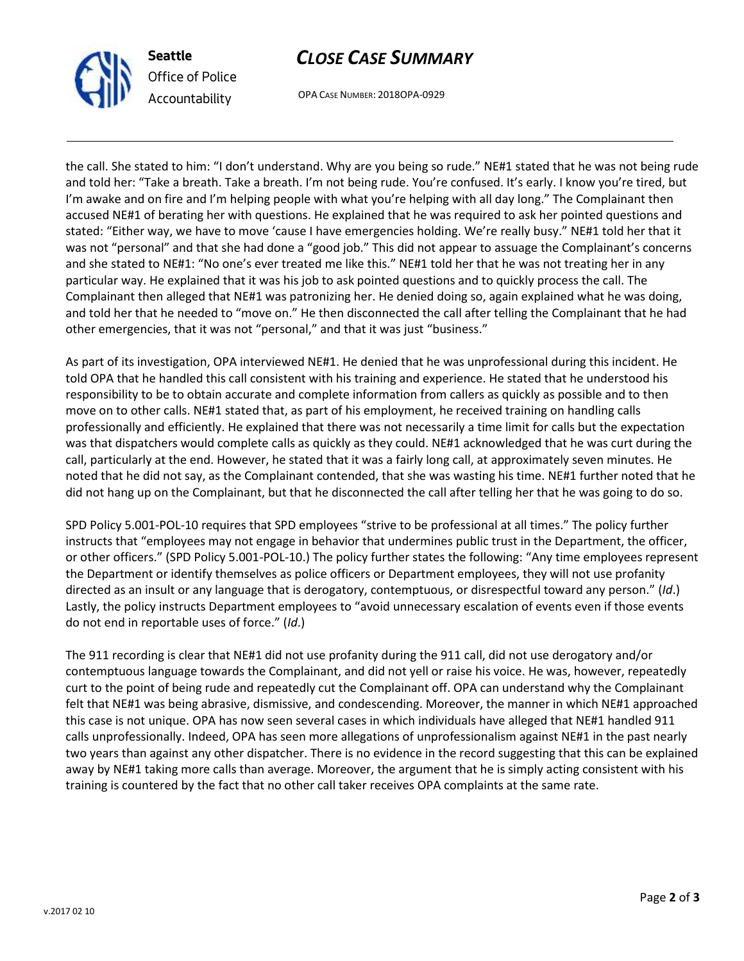



OPA CASE NUMBER: 2018OPA-0929

the call. She stated to him: "I don't understand. Why are you being so rude." NE#1 stated that he was not being rude and told her: "Take a breath. Take a breath. I'm not being rude. You're confused. It's early. I know you're tired, but I'm awake and on fire and I'm helping people with what you're helping with all day long." The Complainant then accused NE#1 of berating her with questions. He explained that he was required to ask her pointed questions and stated: "Either way, we have to move 'cause I have emergencies holding. We're really busy." NE#1 told her that it was not "personal" and that she had done a "good job." This did not appear to assuage the Complainant's concerns and she stated to NE#1: "No one's ever treated me like this." NE#1 told her that he was not treating her in any particular way. He explained that it was his job to ask pointed questions and to quickly process the call. The Complainant then alleged that NE#1 was patronizing her. He denied doing so, again explained what he was doing, and told her that he needed to "move on." He then disconnected the call after telling the Complainant that he had other emergencies, that it was not "personal," and that it was just "business."

As part of its investigation, OPA interviewed NE#1. He denied that he was unprofessional during this incident. He told OPA that he handled this call consistent with his training and experience. He stated that he understood his responsibility to be to obtain accurate and complete information from callers as quickly as possible and to then move on to other calls. NE#1 stated that, as part of his employment, he received training on handling calls professionally and efficiently. He explained that there was not necessarily a time limit for calls but the expectation was that dispatchers would complete calls as quickly as they could. NE#1 acknowledged that he was curt during the call, particularly at the end. However, he stated that it was a fairly long call, at approximately seven minutes. He noted that he did not say, as the Complainant contended, that she was wasting his time. NE#1 further noted that he did not hang up on the Complainant, but that he disconnected the call after telling her that he was going to do so.

SPD Policy 5.001-POL-10 requires that SPD employees "strive to be professional at all times." The policy further instructs that "employees may not engage in behavior that undermines public trust in the Department, the officer, or other officers." (SPD Policy 5.001-POL-10.) The policy further states the following: "Any time employees represent the Department or identify themselves as police officers or Department employees, they will not use profanity directed as an insult or any language that is derogatory, contemptuous, or disrespectful toward any person." (*Id*.) Lastly, the policy instructs Department employees to "avoid unnecessary escalation of events even if those events do not end in reportable uses of force." (*Id*.)

The 911 recording is clear that NE#1 did not use profanity during the 911 call, did not use derogatory and/or contemptuous language towards the Complainant, and did not yell or raise his voice. He was, however, repeatedly curt to the point of being rude and repeatedly cut the Complainant off. OPA can understand why the Complainant felt that NE#1 was being abrasive, dismissive, and condescending. Moreover, the manner in which NE#1 approached this case is not unique. OPA has now seen several cases in which individuals have alleged that NE#1 handled 911 calls unprofessionally. Indeed, OPA has seen more allegations of unprofessionalism against NE#1 in the past nearly two years than against any other dispatcher. There is no evidence in the record suggesting that this can be explained away by NE#1 taking more calls than average. Moreover, the argument that he is simply acting consistent with his training is countered by the fact that no other call taker receives OPA complaints at the same rate.